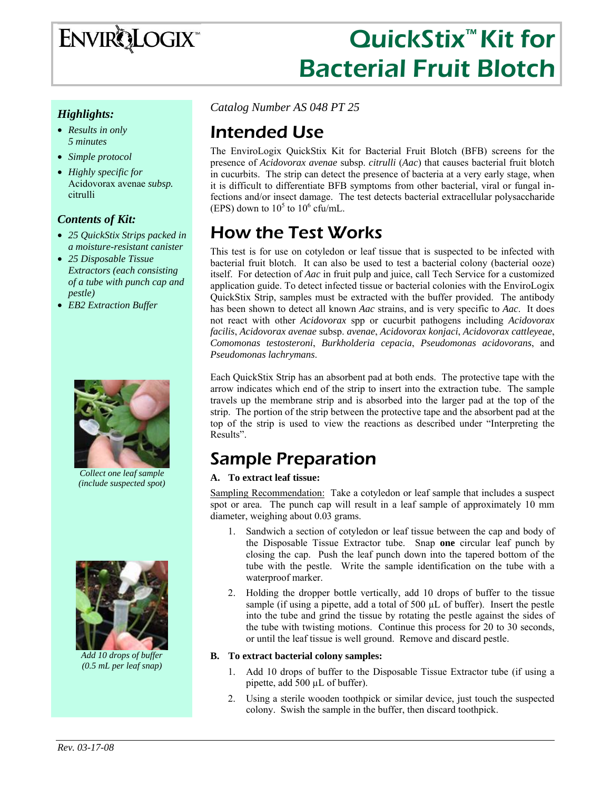

# QuickStix<sup>™</sup> Kit for Bacterial Fruit Blotch

#### *Highlights:*

- *Results in only 5 minutes*
- *Simple protocol*
- *Highly specific for*  Acidovorax avenae *subsp.* citrulli

#### *Contents of Kit:*

- *25 QuickStix Strips packed in a moisture-resistant canister*
- *25 Disposable Tissue Extractors (each consisting of a tube with punch cap and pestle)*
- *EB2 Extraction Buffer*



*Collect one leaf sample (include suspected spot)* 



*Add 10 drops of buffer (0.5 mL per leaf snap)* 

*Catalog Number AS 048 PT 25*

#### Intended Use

The EnviroLogix QuickStix Kit for Bacterial Fruit Blotch (BFB) screens for the presence of *Acidovorax avenae* subsp. *citrulli* (*Aac*) that causes bacterial fruit blotch in cucurbits.The strip can detect the presence of bacteria at a very early stage, when it is difficult to differentiate BFB symptoms from other bacterial, viral or fungal infections and/or insect damage. The test detects bacterial extracellular polysaccharide (EPS) down to  $10^5$  to  $10^6$  cfu/mL.

### How the Test Works

This test is for use on cotyledon or leaf tissue that is suspected to be infected with bacterial fruit blotch. It can also be used to test a bacterial colony (bacterial ooze) itself. For detection of *Aac* in fruit pulp and juice, call Tech Service for a customized application guide. To detect infected tissue or bacterial colonies with the EnviroLogix QuickStix Strip, samples must be extracted with the buffer provided. The antibody has been shown to detect all known *Aac* strains, and is very specific to *Aac*. It does not react with other *Acidovorax* spp or cucurbit pathogens including *Acidovorax facilis*, *Acidovorax avenae* subsp. *avenae*, *Acidovorax konjaci*, *Acidovorax cattleyeae*, *Comomonas testosteroni*, *Burkholderia cepacia*, *Pseudomonas acidovorans*, and *Pseudomonas lachrymans*.

Each QuickStix Strip has an absorbent pad at both ends. The protective tape with the arrow indicates which end of the strip to insert into the extraction tube. The sample travels up the membrane strip and is absorbed into the larger pad at the top of the strip. The portion of the strip between the protective tape and the absorbent pad at the top of the strip is used to view the reactions as described under "Interpreting the Results".

### Sample Preparation

#### **A. To extract leaf tissue:**

Sampling Recommendation: Take a cotyledon or leaf sample that includes a suspect spot or area. The punch cap will result in a leaf sample of approximately 10 mm diameter, weighing about 0.03 grams.

- 1. Sandwich a section of cotyledon or leaf tissue between the cap and body of the Disposable Tissue Extractor tube. Snap **one** circular leaf punch by closing the cap. Push the leaf punch down into the tapered bottom of the tube with the pestle. Write the sample identification on the tube with a waterproof marker.
- 2. Holding the dropper bottle vertically, add 10 drops of buffer to the tissue sample (if using a pipette, add a total of 500  $\mu$ L of buffer). Insert the pestle into the tube and grind the tissue by rotating the pestle against the sides of the tube with twisting motions. Continue this process for 20 to 30 seconds, or until the leaf tissue is well ground. Remove and discard pestle.

#### **B. To extract bacterial colony samples:**

- 1. Add 10 drops of buffer to the Disposable Tissue Extractor tube (if using a pipette, add 500 µL of buffer).
- 2. Using a sterile wooden toothpick or similar device, just touch the suspected colony. Swish the sample in the buffer, then discard toothpick.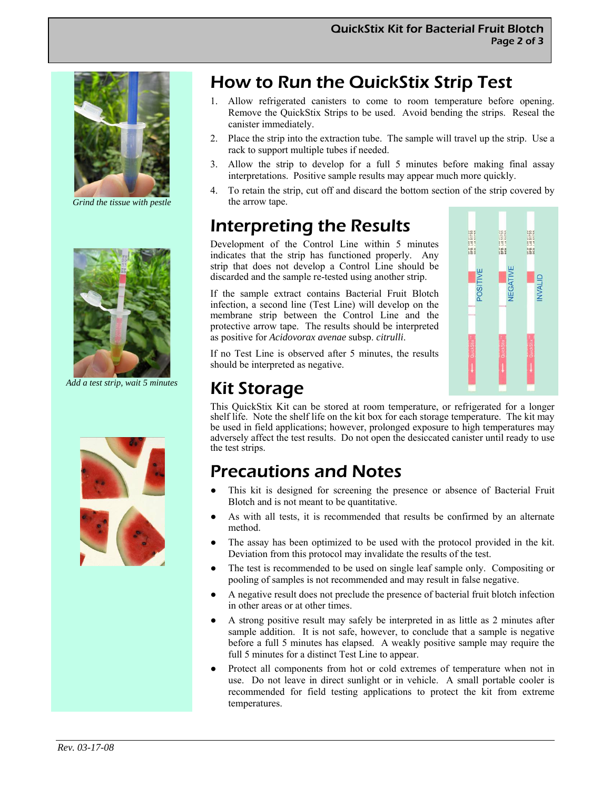

*Grind the tissue with pestle* 



*Add a test strip, wait 5 minutes* 





### How to Run the QuickStix Strip Test

- 1. Allow refrigerated canisters to come to room temperature before opening. Remove the QuickStix Strips to be used. Avoid bending the strips. Reseal the canister immediately.
- 2. Place the strip into the extraction tube. The sample will travel up the strip. Use a rack to support multiple tubes if needed.
- 3. Allow the strip to develop for a full 5 minutes before making final assay interpretations. Positive sample results may appear much more quickly.
- 4. To retain the strip, cut off and discard the bottom section of the strip covered by the arrow tape.

### Interpreting the Results

Development of the Control Line within 5 minutes indicates that the strip has functioned properly. Any strip that does not develop a Control Line should be discarded and the sample re-tested using another strip.

If the sample extract contains Bacterial Fruit Blotch infection, a second line (Test Line) will develop on the membrane strip between the Control Line and the protective arrow tape. The results should be interpreted as positive for *Acidovorax avenae* subsp. *citrulli*.

If no Test Line is observed after 5 minutes, the results should be interpreted as negative.

## are Lot 51755<br>BFB Lot 51755<br>aca I of 41744  $387$  $55$  $0000$  $2000$ POSITIVE VEGATIN NVALID

### Kit Storage

This QuickStix Kit can be stored at room temperature, or refrigerated for a longer shelf life. Note the shelf life on the kit box for each storage temperature. The kit may be used in field applications; however, prolonged exposure to high temperatures may adversely affect the test results. Do not open the desiccated canister until ready to use the test strips.

### Precautions and Notes

- This kit is designed for screening the presence or absence of Bacterial Fruit Blotch and is not meant to be quantitative.
- As with all tests, it is recommended that results be confirmed by an alternate method.
- The assay has been optimized to be used with the protocol provided in the kit. Deviation from this protocol may invalidate the results of the test.
- The test is recommended to be used on single leaf sample only. Compositing or pooling of samples is not recommended and may result in false negative.
- A negative result does not preclude the presence of bacterial fruit blotch infection in other areas or at other times.
- A strong positive result may safely be interpreted in as little as 2 minutes after sample addition. It is not safe, however, to conclude that a sample is negative before a full 5 minutes has elapsed. A weakly positive sample may require the full 5 minutes for a distinct Test Line to appear.
- Protect all components from hot or cold extremes of temperature when not in use. Do not leave in direct sunlight or in vehicle. A small portable cooler is recommended for field testing applications to protect the kit from extreme temperatures.